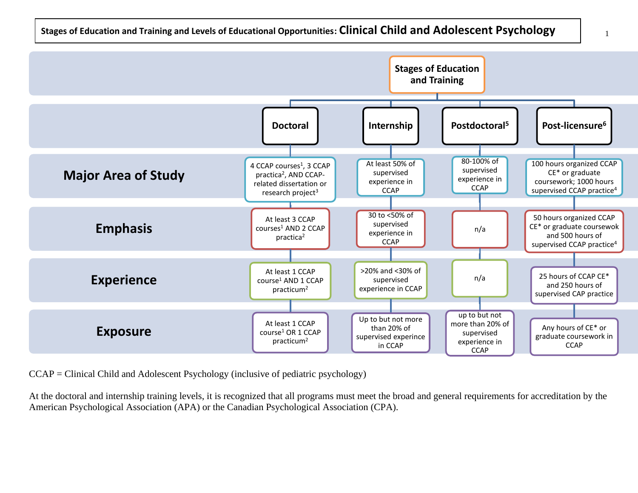

1



CCAP = Clinical Child and Adolescent Psychology (inclusive of pediatric psychology)

At the doctoral and internship training levels, it is recognized that all programs must meet the broad and general requirements for accreditation by the American Psychological Association (APA) or the Canadian Psychological Association (CPA).